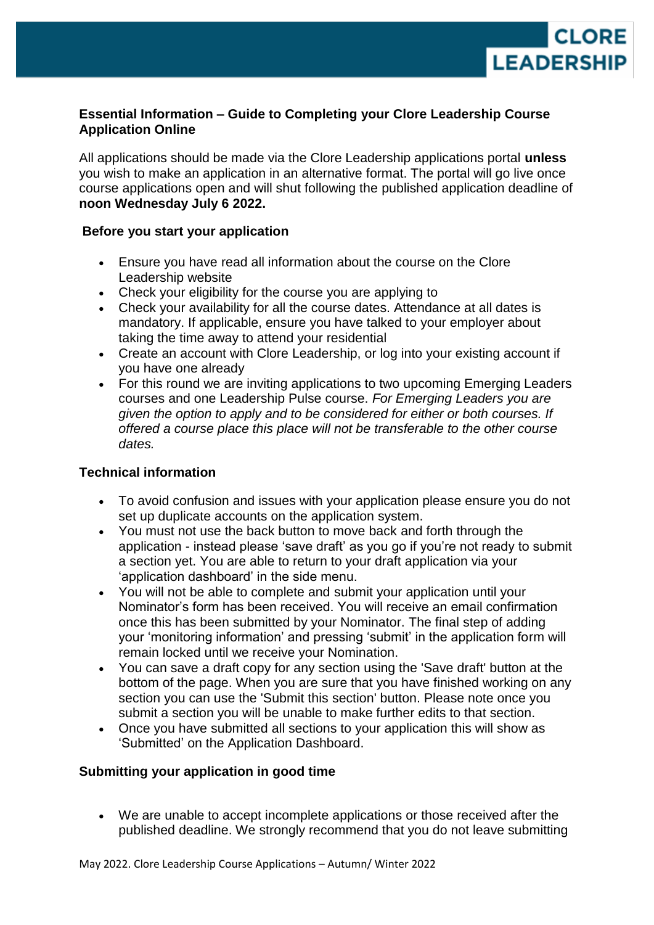

# **Essential Information – Guide to Completing your Clore Leadership Course Application Online**

All applications should be made via the Clore Leadership applications portal **unless**  you wish to make an application in an alternative format. The portal will go live once course applications open and will shut following the published application deadline of **noon Wednesday July 6 2022.** 

# **Before you start your application**

- Ensure you have read all information about the course on the Clore Leadership website
- Check your eligibility for the course you are applying to
- Check your availability for all the course dates. Attendance at all dates is mandatory. If applicable, ensure you have talked to your employer about taking the time away to attend your residential
- Create an account with Clore Leadership, or log into your existing account if you have one already
- For this round we are inviting applications to two upcoming Emerging Leaders courses and one Leadership Pulse course. *For Emerging Leaders you are given the option to apply and to be considered for either or both courses. If offered a course place this place will not be transferable to the other course dates.*

# **Technical information**

- To avoid confusion and issues with your application please ensure you do not set up duplicate accounts on the application system.
- You must not use the back button to move back and forth through the application - instead please 'save draft' as you go if you're not ready to submit a section yet. You are able to return to your draft application via your 'application dashboard' in the side menu.
- You will not be able to complete and submit your application until your Nominator's form has been received. You will receive an email confirmation once this has been submitted by your Nominator. The final step of adding your 'monitoring information' and pressing 'submit' in the application form will remain locked until we receive your Nomination.
- You can save a draft copy for any section using the 'Save draft' button at the bottom of the page. When you are sure that you have finished working on any section you can use the 'Submit this section' button. Please note once you submit a section you will be unable to make further edits to that section.
- Once you have submitted all sections to your application this will show as 'Submitted' on the Application Dashboard.

# **Submitting your application in good time**

 We are unable to accept incomplete applications or those received after the published deadline. We strongly recommend that you do not leave submitting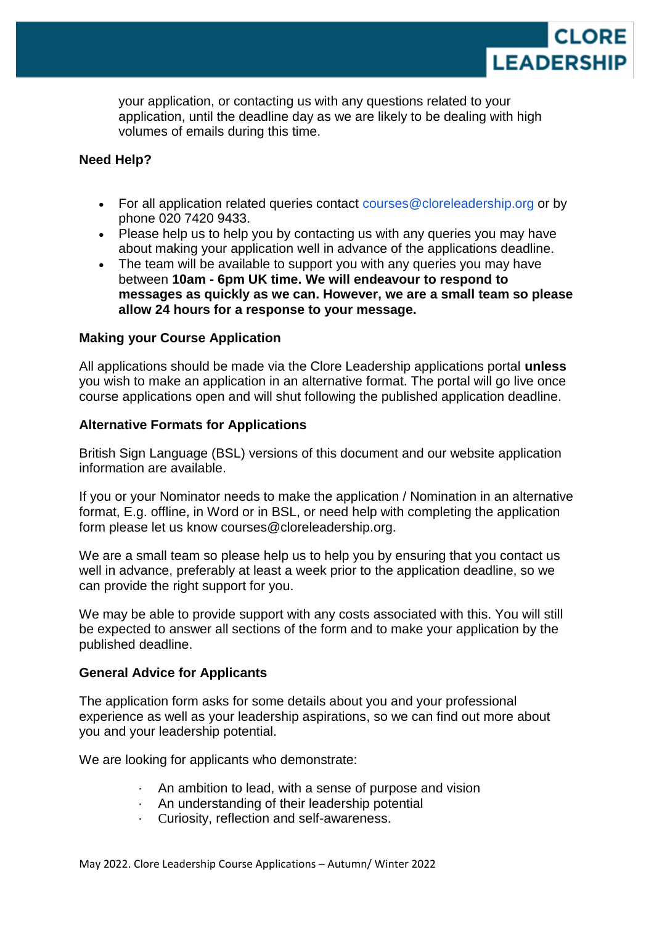

your application, or contacting us with any questions related to your application, until the deadline day as we are likely to be dealing with high volumes of emails during this time.

# **Need Help?**

- For all application related queries contact courses@cloreleadership.org or by phone 020 7420 9433.
- Please help us to help you by contacting us with any queries you may have about making your application well in advance of the applications deadline.
- The team will be available to support you with any queries you may have between **10am - 6pm UK time. We will endeavour to respond to messages as quickly as we can. However, we are a small team so please allow 24 hours for a response to your message.**

### **Making your Course Application**

All applications should be made via the Clore Leadership applications portal **unless**  you wish to make an application in an alternative format. The portal will go live once course applications open and will shut following the published application deadline.

### **Alternative Formats for Applications**

British Sign Language (BSL) versions of this document and our website application information are available.

If you or your Nominator needs to make the application / Nomination in an alternative format, E.g. offline, in Word or in BSL, or need help with completing the application form please let us know courses@cloreleadership.org.

We are a small team so please help us to help you by ensuring that you contact us well in advance, preferably at least a week prior to the application deadline, so we can provide the right support for you.

We may be able to provide support with any costs associated with this. You will still be expected to answer all sections of the form and to make your application by the published deadline.

#### **General Advice for Applicants**

The application form asks for some details about you and your professional experience as well as your leadership aspirations, so we can find out more about you and your leadership potential.

We are looking for applicants who demonstrate:

- · An ambition to lead, with a sense of purpose and vision
- · An understanding of their leadership potential
- Curiosity, reflection and self-awareness.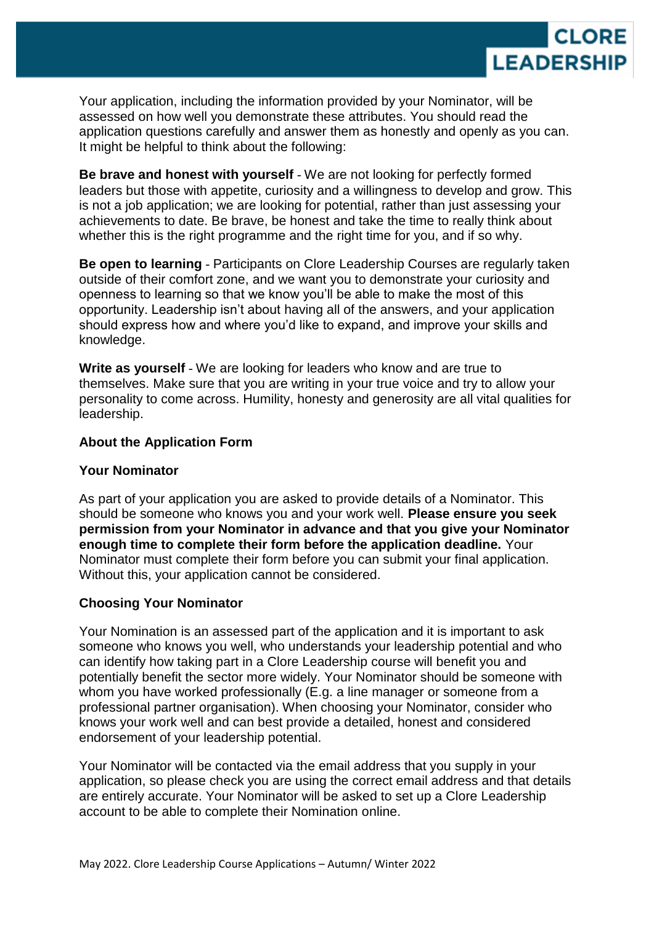

Your application, including the information provided by your Nominator, will be assessed on how well you demonstrate these attributes. You should read the application questions carefully and answer them as honestly and openly as you can. It might be helpful to think about the following:

**Be brave and honest with yourself** - We are not looking for perfectly formed leaders but those with appetite, curiosity and a willingness to develop and grow. This is not a job application; we are looking for potential, rather than just assessing your achievements to date. Be brave, be honest and take the time to really think about whether this is the right programme and the right time for you, and if so why.

**Be open to learning** - Participants on Clore Leadership Courses are regularly taken outside of their comfort zone, and we want you to demonstrate your curiosity and openness to learning so that we know you'll be able to make the most of this opportunity. Leadership isn't about having all of the answers, and your application should express how and where you'd like to expand, and improve your skills and knowledge.

**Write as yourself** - We are looking for leaders who know and are true to themselves. Make sure that you are writing in your true voice and try to allow your personality to come across. Humility, honesty and generosity are all vital qualities for leadership.

### **About the Application Form**

#### **Your Nominator**

As part of your application you are asked to provide details of a Nominator. This should be someone who knows you and your work well. **Please ensure you seek permission from your Nominator in advance and that you give your Nominator enough time to complete their form before the application deadline.** Your Nominator must complete their form before you can submit your final application. Without this, your application cannot be considered.

# **Choosing Your Nominator**

Your Nomination is an assessed part of the application and it is important to ask someone who knows you well, who understands your leadership potential and who can identify how taking part in a Clore Leadership course will benefit you and potentially benefit the sector more widely. Your Nominator should be someone with whom you have worked professionally (E.g. a line manager or someone from a professional partner organisation). When choosing your Nominator, consider who knows your work well and can best provide a detailed, honest and considered endorsement of your leadership potential.

Your Nominator will be contacted via the email address that you supply in your application, so please check you are using the correct email address and that details are entirely accurate. Your Nominator will be asked to set up a Clore Leadership account to be able to complete their Nomination online.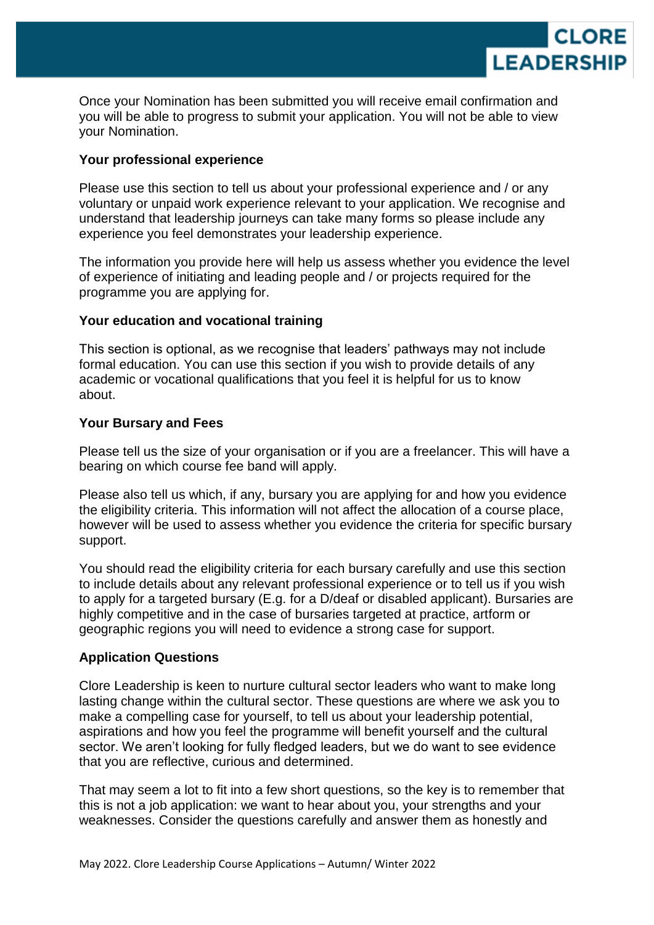

Once your Nomination has been submitted you will receive email confirmation and you will be able to progress to submit your application. You will not be able to view your Nomination.

### **Your professional experience**

Please use this section to tell us about your professional experience and / or any voluntary or unpaid work experience relevant to your application. We recognise and understand that leadership journeys can take many forms so please include any experience you feel demonstrates your leadership experience.

The information you provide here will help us assess whether you evidence the level of experience of initiating and leading people and / or projects required for the programme you are applying for.

# **Your education and vocational training**

This section is optional, as we recognise that leaders' pathways may not include formal education. You can use this section if you wish to provide details of any academic or vocational qualifications that you feel it is helpful for us to know about.

### **Your Bursary and Fees**

Please tell us the size of your organisation or if you are a freelancer. This will have a bearing on which course fee band will apply.

Please also tell us which, if any, bursary you are applying for and how you evidence the eligibility criteria. This information will not affect the allocation of a course place, however will be used to assess whether you evidence the criteria for specific bursary support.

You should read the eligibility criteria for each bursary carefully and use this section to include details about any relevant professional experience or to tell us if you wish to apply for a targeted bursary (E.g. for a D/deaf or disabled applicant). Bursaries are highly competitive and in the case of bursaries targeted at practice, artform or geographic regions you will need to evidence a strong case for support.

#### **Application Questions**

Clore Leadership is keen to nurture cultural sector leaders who want to make long lasting change within the cultural sector. These questions are where we ask you to make a compelling case for yourself, to tell us about your leadership potential, aspirations and how you feel the programme will benefit yourself and the cultural sector. We aren't looking for fully fledged leaders, but we do want to see evidence that you are reflective, curious and determined.

That may seem a lot to fit into a few short questions, so the key is to remember that this is not a job application: we want to hear about you, your strengths and your weaknesses. Consider the questions carefully and answer them as honestly and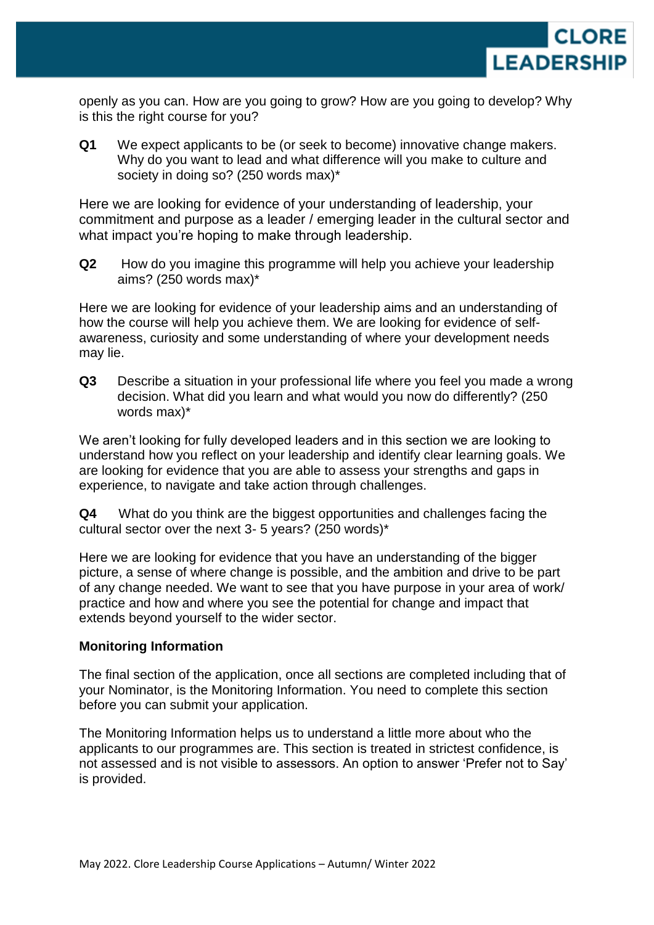

openly as you can. How are you going to grow? How are you going to develop? Why is this the right course for you?

**Q1** We expect applicants to be (or seek to become) innovative change makers. Why do you want to lead and what difference will you make to culture and society in doing so? (250 words max)\*

Here we are looking for evidence of your understanding of leadership, your commitment and purpose as a leader / emerging leader in the cultural sector and what impact you're hoping to make through leadership.

**Q2** How do you imagine this programme will help you achieve your leadership aims? (250 words max)\*

Here we are looking for evidence of your leadership aims and an understanding of how the course will help you achieve them. We are looking for evidence of selfawareness, curiosity and some understanding of where your development needs may lie.

**Q3** Describe a situation in your professional life where you feel you made a wrong decision. What did you learn and what would you now do differently? (250 words max)\*

We aren't looking for fully developed leaders and in this section we are looking to understand how you reflect on your leadership and identify clear learning goals. We are looking for evidence that you are able to assess your strengths and gaps in experience, to navigate and take action through challenges.

**Q4** What do you think are the biggest opportunities and challenges facing the cultural sector over the next 3- 5 years? (250 words)\*

Here we are looking for evidence that you have an understanding of the bigger picture, a sense of where change is possible, and the ambition and drive to be part of any change needed. We want to see that you have purpose in your area of work/ practice and how and where you see the potential for change and impact that extends beyond yourself to the wider sector.

# **Monitoring Information**

The final section of the application, once all sections are completed including that of your Nominator, is the Monitoring Information. You need to complete this section before you can submit your application.

The Monitoring Information helps us to understand a little more about who the applicants to our programmes are. This section is treated in strictest confidence, is not assessed and is not visible to assessors. An option to answer 'Prefer not to Say' is provided.